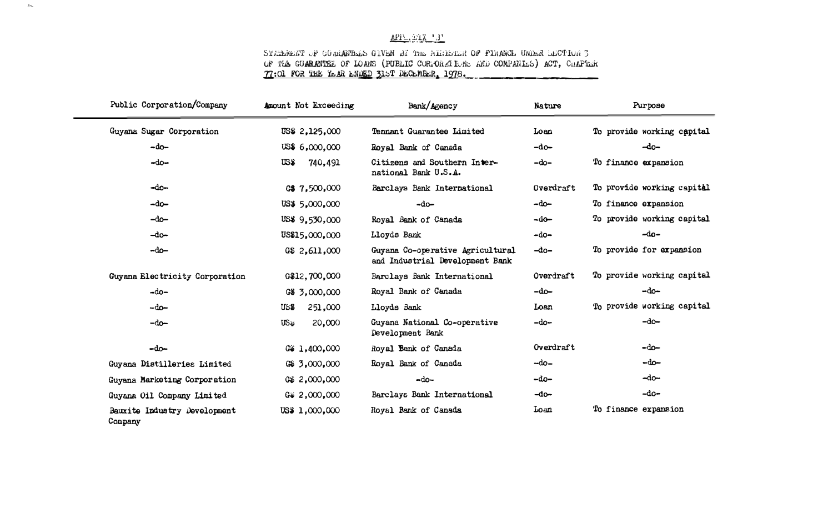### $AP1^{\circ}$   $P1Z - 3^{\circ}$

#### STARDENT OF GORDNARD GIVEN BY THE MIRICIEN OF FINANCE UNDER DECTION 3 OF THE GUARANTEE OF LOANS (PUBLIC CORPORATIONS AND COMPANIES) ACT, CHAPTER 77:01 FOR THE YEAR ENDED 315T DECEMBER, 1978.

| Public Corporation/Company              | Amount Not Exceeding  | Bank/Agency                                                         | <b>Nature</b> | Purpose                    |
|-----------------------------------------|-----------------------|---------------------------------------------------------------------|---------------|----------------------------|
| Guyana Sugar Corporation                | US\$ 2,125,000        | Tennant Guarantee Limited                                           | Loan          | To provide working capital |
| $-do-$                                  | US\$6,000,000         | Royal Bank of Canada                                                | $-d\rho$      | $-do-$                     |
| $-do-$                                  | US\$<br>740,491       | Citizens and Southern Inter-<br>national Bank U.S.A.                | $-do-$        | To finance expansion       |
| -do-                                    | G\$ 7,500,000         | Barclays Bank International                                         | Overdraft     | To provide working capital |
| $-d_0$                                  | US\$ 5,000,000        | $-do-$                                                              | –do–          | To finance expansion       |
| $-do-$                                  | US\$ 9,530,000        | Royal Bank of Canada                                                | -do-          | To provide working capital |
| $-dn$                                   | US\$15,000,000        | Lloyds Bank                                                         | $-d0$         | $-d0-$                     |
| -do-                                    | G\$ 2,611,000         | Guyana Co-operative Agricultural<br>and Industrial Development Bank | $-do-$        | To provide for expansion   |
| Guyana Electricity Corporation          | G\$12,700,000         | Barclays Bank International                                         | Overdraft     | To provide working capital |
| $-do-$                                  | G\$ 3,000,000         | Royal Bank of Canada                                                | $-d\rho$      | $-do-$                     |
| $-do-$                                  | 251,000<br>US\$       | Lloyds Bank                                                         | Loan          | To provide working capital |
| $-do-$                                  | $US_{\Psi}$<br>20,000 | Guyana National Co-operative<br>Development Bank                    | $-do-$        | $-do-$                     |
| $-do-$                                  | G\$ 1,400,000         | Royal Bank of Canada                                                | Overdraft     | $-do-$                     |
| Guyana Distilleries Limited             | G\$ 3,000,000         | Royal Bank of Canada                                                | -do-          | $-do-$                     |
| Guyana Marketing Corporation            | G\$ 2,000,000         | $-do-$                                                              | -do-          | $-do-$                     |
| Guyana Oil Company Limited              | $G_{\Psi}$ 2,000,000  | Barclays Bank International                                         | $-do-$        | $-do-$                     |
| Bauxite Industry Development<br>Company | US\$ 1,000,000        | Royal Bank of Canada                                                | Loan          | To finance expansion       |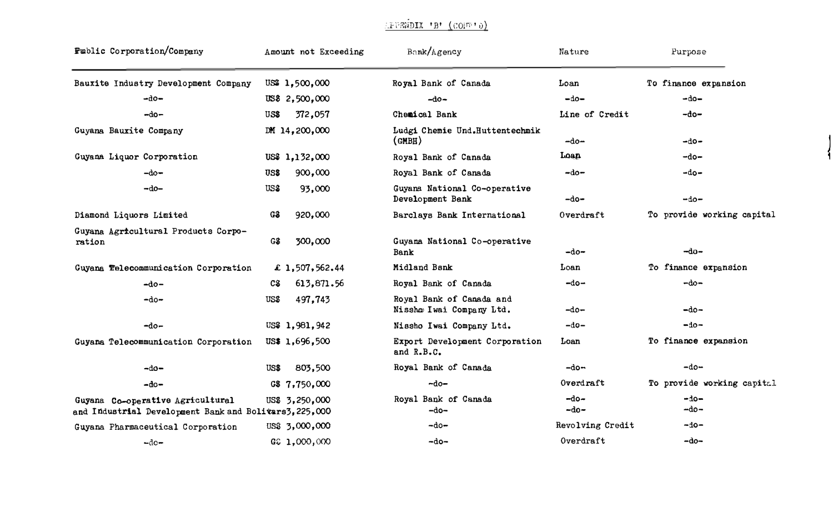# (PUENDIX 'B' (COFF'))

| <b>Fublic Corporation/Company</b>                                                          | Amount not Exceeding | Bank/Agency                                          | Nature           | Purpose                    |
|--------------------------------------------------------------------------------------------|----------------------|------------------------------------------------------|------------------|----------------------------|
| Bauxite Industry Development Company                                                       | US\$ 1,500,000       | Royal Bank of Canada                                 | Loan             | To finance expansion       |
| -do−                                                                                       | US\$ 2,500,000       | $-d0-$                                               | $-do-$           | $-do-$                     |
| $-d0-$                                                                                     | 372,057<br>US\$      | Chemical Bank                                        | Line of Credit   | $-do-$                     |
| Guyana Bauxite Company                                                                     | DM 14,200,000        | Ludgi Chemie Und.Huttentechmik<br>$\text{(GMBB)}$    | $-do-$           | ⊸do∽                       |
| Guyana Liquor Corporation                                                                  | US\$ 1,132,000       | Royal Bank of Canada                                 | Loan             | -do-                       |
| $-do-$                                                                                     | 900,000<br>US\$      | Royal Bank of Canada                                 | $-do-$           | -do-                       |
| -do-                                                                                       | US\$<br>93,000       | Guyana National Co-operative<br>Development Bank     | -do-             | -do-                       |
| Diamond Liquors Limited                                                                    | 920,000<br>G\$       | Barclays Bank International                          | Overdraft        | To provide working capital |
| Guyana Agricultural Products Corpo-<br>ration                                              | 300,000<br>G\$       | Guyana National Co-operative<br><b>Bank</b>          | -do-             | -do-                       |
| Guyana Telecommunication Corporation                                                       | £ 1,507,562.44       | Midland Bank                                         | $_{\text{Ioan}}$ | To finance expansion       |
| $-d0-$                                                                                     | 613,871.56<br>C\$    | Royal Bank of Canada                                 | -do-             | -do-                       |
| $-do-$                                                                                     | 497,743<br>US\$      | Royal Bank of Canada and<br>Nissho Iwai Company Ltd. | -do-             | -do-                       |
| $-do-$                                                                                     | US\$ 1,981,942       | Nissho Iwai Company Ltd.                             | $-d0-$           | -do-                       |
| Guyana Telecommunication Corporation                                                       | US\$ 1,696,500       | Export Development Corporation<br>and R.B.C.         | Loan             | To finance expansion       |
| -do-                                                                                       | 803,500<br>US\$      | Royal Bank of Canada                                 | –do⊷             | $-do-$                     |
| $-do-$                                                                                     | G\$ 7,750,000        | $-do-$                                               | Overdraft        | To provide working capital |
| Guyana Co-operative Agricultural<br>and Industrial Development Bank and Bolitars3, 225,000 | US\$ 3,250,000       | Royal Bank of Canada<br>$-do-$                       | $-do-$<br>$-do-$ | $-do-$<br>$-do-$           |
| Guyana Pharmaceutical Corporation                                                          | US\$ 3,000,000       | $-do-$                                               | Revolving Credit | $-do-$                     |
| $-dc$                                                                                      | GC 1,000,000         | $-do-$                                               | Overdraft        | $-do-$                     |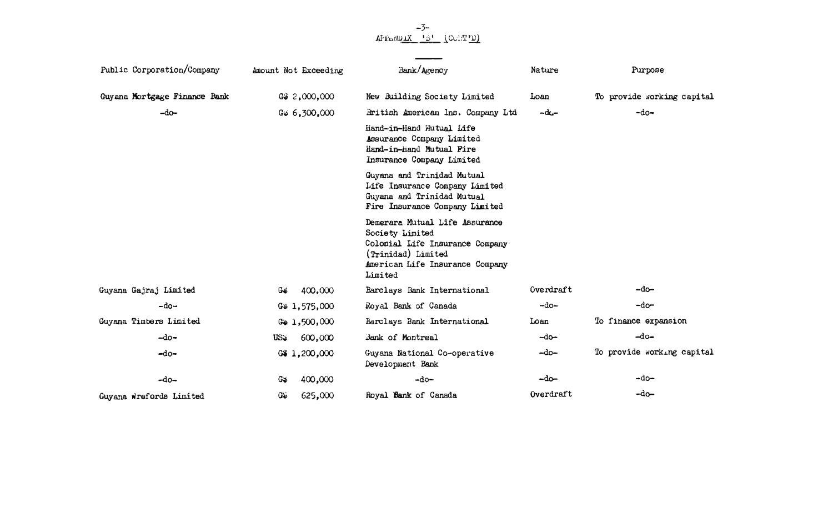# $-5$ -<br>APPENI<u>DIX 'B'</u> (CORT<u>'D)</u>

 $\overline{\phantom{a}}$ 

 $\sim 10^{-11}$ 

| Public Corporation/Company   | Amount Not Exceeding  | Bank/Agency                                                                                                                                              | Nature     | Purpose                    |
|------------------------------|-----------------------|----------------------------------------------------------------------------------------------------------------------------------------------------------|------------|----------------------------|
| Guyana Mortgage Finance Bank | G\$ 2,000,000         | New Suilding Society Limited                                                                                                                             | Loan       | To provide working capital |
| $-do-$                       | $G_{\psi}$ 6,300,000  | British American Ins. Company Ltd                                                                                                                        | $-du-$     | $-do-$                     |
|                              |                       | Hand-in-Hand Mutual Life<br>Assurance Company Limited<br>Hand-in-Hand Mutual Fire<br>Insurance Company Limited                                           |            |                            |
|                              |                       | Guyana and Trinidad Mutual<br>Life Insurance Company Limited<br>Guyana and Trinidad Mutual<br>Fire Insurance Company Limited                             |            |                            |
|                              |                       | Demerara Mutual Life Assurance<br>Society Limited<br>Colonial Life Insurance Company<br>(Trinidad) Limited<br>American Life Insurance Company<br>Limited |            |                            |
| Guyana Gajraj Limited        | 400,000<br>Gó         | Barclays Bank International                                                                                                                              | Overdraft  | –do–                       |
| $-do-$                       | $G_{46}$ 1,575,000    | Royal Bank of Canada                                                                                                                                     | ⊶do–       | $-do-$                     |
| Guyana Timbers Limited       | Gi 1,500,000          | Barclays Bank International                                                                                                                              | Loan       | To finance expansion       |
| $-do-$                       | 600,000<br><b>US:</b> | Bank of Montreal                                                                                                                                         | $-d\sigma$ | $-d0-$                     |
| $-do-$                       | 6\$1,200,000          | Guyana National Co-operative<br>Development Bank                                                                                                         | $-do-$     | To provide working capital |
| $-d0-$                       | 400,000<br>G          | $-do-$                                                                                                                                                   | $-do-$     | ∽do∸                       |
| Guyana Wrefords Limited      | Gŵ<br>625,000         | Royal Bank of Canada                                                                                                                                     | Overdraft  | $-do-$                     |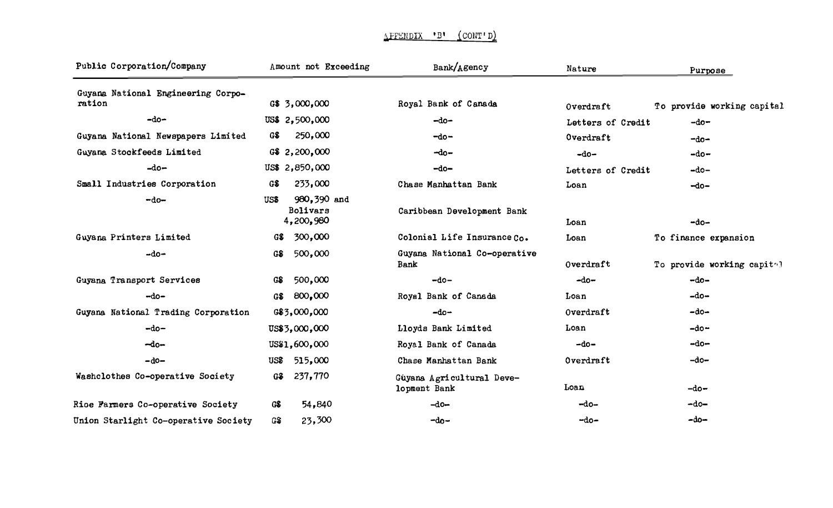| Public Corporation/Company                   |      | Amount not Exceeding                 | Bank/Agency                               | Nature            | Purpose                    |
|----------------------------------------------|------|--------------------------------------|-------------------------------------------|-------------------|----------------------------|
| Guyana National Engineering Corpo-<br>ration |      | G\$ 3,000,000                        | Royal Bank of Canada                      | Overdraft         | To provide working capital |
| $-do-$                                       |      | US\$ 2,500,000                       | $-do-$                                    | Letters of Credit | $-do-$                     |
| Guyana National Newspapers Limited           | GS.  | 250,000                              | $-do-$                                    | Overdraft         | $-do-$                     |
| Guyana Stockfeeds Limited                    |      | G\$ 2,200,000                        | $-do-$                                    | $-do-$            | $-do-$                     |
| $-do-$                                       |      | US\$ 2,850,000                       | $-do-$                                    | Letters of Credit | $-do-$                     |
| Small Industries Corporation                 | GS.  | 233,000                              | Chase Manhattan Bank                      | Loan              | $-do-$                     |
| $-do-$                                       | US\$ | 980,390 and<br>Bolivars<br>4,200,980 | Caribbean Development Bank                | Loan              | $-do-$                     |
| Guyana Printers Limited                      | GS.  | 300,000                              | Colonial Life Insurance Co.               | Loan              | To finance expansion       |
| $-do-$                                       | G\$  | 500,000                              | Guyana National Co-operative<br>Bank      | Overdraft         | To provide working capitel |
| Guyana Transport Services                    | GS.  | 500,000                              | $-d0-$                                    | $-do-$            | -do-                       |
| $-do-$                                       | G\$  | 800,000                              | Royal Bank of Canada                      | Loan              | $-do-$                     |
| Guyana National Trading Corporation          |      | G\$3,000,000                         | $-do-$                                    | Overdraft         | $-do-$                     |
| $-do-$                                       |      | US\$3,000,000                        | Lloyds Bank Limited                       | Loan              | $-do-$                     |
| $-do-$                                       |      | US\$1,600,000                        | Royal Bank of Canada                      | $-do-$            | $-do-$                     |
| $-do-$                                       |      | US\$ 515,000                         | Chase Manhattan Bank                      | Overdraft         | $-do-$                     |
| Washclothes Co-operative Society             | G\$  | 237,770                              | Guyana Agricultural Deve-<br>lopment Bank | Loan              | $-do-$                     |
| Rioe Farmers Co-operative Society            | G\$  | 54,840                               | $-do-$                                    | $-d0-$            | $-do-$                     |
| Union Starlight Co-operative Society         | G\$  | 23,300                               | $-d_0-$                                   | $-do-$            | $-do-$                     |

### \FF�NDIX 'D' (CON'I **<sup>1</sup>** D)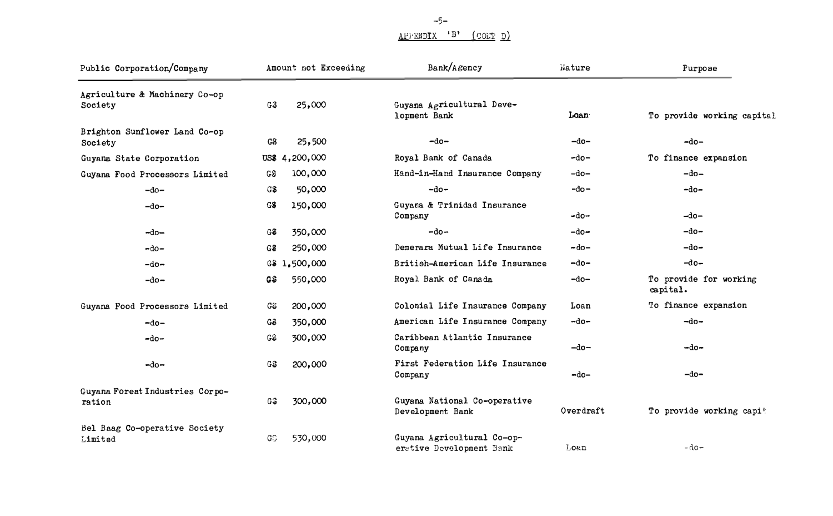## **APPENDIX 'B' (CONT D)**

| Public Corporation/Company                |     | Amount not Exceeding | Bank/Agency                                            | Nature    | Purpose                            |
|-------------------------------------------|-----|----------------------|--------------------------------------------------------|-----------|------------------------------------|
| Agriculture & Machinery Co-op<br>Society  | G3  | 25,000               | Guyana Agricultural Deve-<br>lopment Bank              | Loan:     | To provide working capital         |
| Brighton Sunflower Land Co-op<br>Society  | G\$ | 25,500               | $-do-$                                                 | $-do-$    | $-do-$                             |
| Guyana State Corporation                  |     | US\$ 4,200,000       | Royal Bank of Canada                                   | $-do-$    | To finance expansion               |
| Guyana Food Processors Limited            | G\$ | 100,000              | Hand-in-Hand Insurance Company                         | $-do-$    | $-do-$                             |
| $-do-$                                    | G\$ | 50,000               | $-do-$                                                 | $-do-$    | $-do-$                             |
| -do-                                      | G\$ | 150,000              | Guyana & Trinidad Insurance<br>Company                 | ∽do⊸      | $-do-$                             |
| $-do-$                                    | G\$ | 350,000              | $-do-$                                                 | $-do-$    | $-do-$                             |
| $-d0-$                                    | G3  | 250,000              | Demerara Mutual Life Insurance                         | $-do-$    | $-do-$                             |
| $-do$                                     |     | G\$ 1,500,000        | British-American Life Insurance                        | $-do-$    | $-d0-$                             |
| $-do-$                                    | G\$ | 550,000              | Royal Bank of Canada                                   | -do-      | To provide for working<br>capital. |
| Guyana Food Processors Limited            | GSS | 200,000              | Colonial Life Insurance Company                        | Loan      | To finance expansion               |
| $-do-$                                    | Gô  | 350,000              | American Life Insurance Company                        | $-do-$    | $-do-$                             |
| -do÷                                      | G\$ | 300,000              | Caribbean Atlantic Insurance<br>Company                | $-do-$    | $-do-$                             |
| $-do-$                                    | G3  | 200,000              | First Federation Life Insurance<br>Company             | ⊸do–      | $-do-$                             |
| Guyana Forest Industries Corpo-<br>ration | G\$ | 300,000              | Guyana National Co-operative<br>Development Bank       | Overdraft | To provide working capit           |
| Bel Baag Co-operative Society<br>Limited  | GS  | 530,000              | Guyana Agricultural Co-op-<br>erstive Development Bank | Loan      | - ด้อ-                             |

-5-